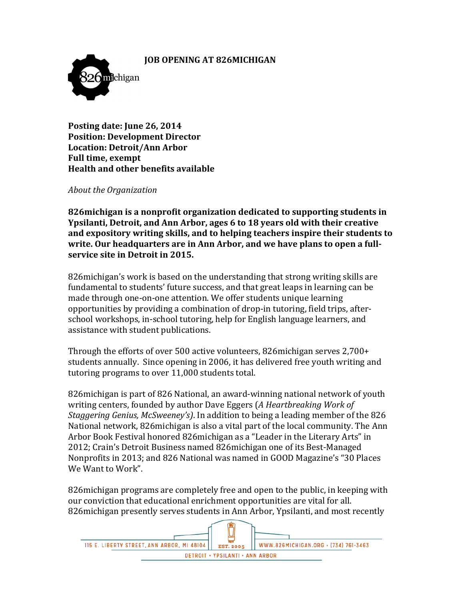### **IOB OPENING AT 826MICHIGAN**



Posting date: June 26, 2014 **Position: Development Director Location: Detroit/Ann Arbor** Full time, exempt Health and other benefits available

About the Organization

826 michigan is a nonprofit organization dedicated to supporting students in Ypsilanti, Detroit, and Ann Arbor, ages 6 to 18 years old with their creative and expository writing skills, and to helping teachers inspire their students to write. Our headquarters are in Ann Arbor, and we have plans to open a fullservice site in Detroit in 2015.

826 michigan's work is based on the understanding that strong writing skills are fundamental to students' future success, and that great leaps in learning can be made through one-on-one attention. We offer students unique learning opportunities by providing a combination of drop-in tutoring, field trips, afterschool workshops, in-school tutoring, help for English language learners, and assistance with student publications.

Through the efforts of over 500 active volunteers, 826 michigan serves 2,700+ students annually. Since opening in 2006, it has delivered free youth writing and tutoring programs to over 11,000 students total.

826 michigan is part of 826 National, an award-winning national network of youth writing centers, founded by author Dave Eggers (A Heartbreaking Work of *Staggering Genius, McSweeney's*). In addition to being a leading member of the 826 National network, 826 michigan is also a vital part of the local community. The Ann Arbor Book Festival honored 826 michigan as a "Leader in the Literary Arts" in 2012; Crain's Detroit Business named 826 michigan one of its Best-Managed Nonprofits in 2013; and 826 National was named in GOOD Magazine's "30 Places" We Want to Work".

826 michigan programs are completely free and open to the public, in keeping with our conviction that educational enrichment opportunities are vital for all. 826 michigan presently serves students in Ann Arbor, Ypsilanti, and most recently

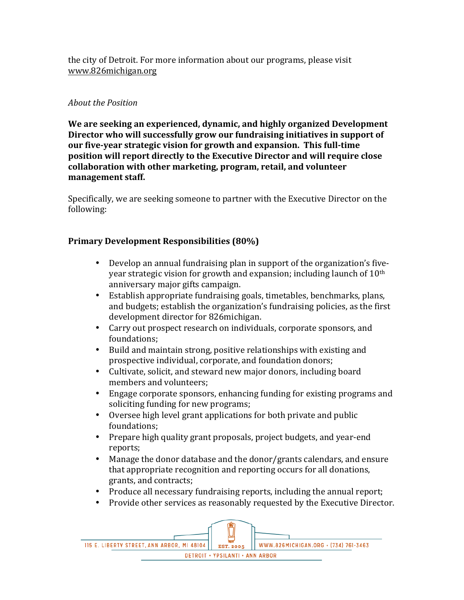the city of Detroit. For more information about our programs, please visit www.826michigan.org

### *About the Position*

**We\$are\$seeking\$an\$experienced,\$dynamic, and\$highly\$organized\$Development\$ Director who will successfully grow our fundraising initiatives in support of our five-year strategic vision for growth and expansion. This full-time position will report directly to the Executive Director and will require close collaboration\$with\$other\$marketing,\$program,\$retail,\$and\$volunteer\$ management staff.**

Specifically, we are seeking someone to partner with the Executive Director on the following:

## **Primary\$Development\$Responsibilities (80%)**

- Develop an annual fundraising plan in support of the organization's fiveyear strategic vision for growth and expansion; including launch of 10<sup>th</sup> anniversary major gifts campaign.
- Establish appropriate fundraising goals, timetables, benchmarks, plans, and budgets; establish the organization's fundraising policies, as the first development director for 826michigan.
- Carry out prospect research on individuals, corporate sponsors, and foundations;
- Build and maintain strong, positive relationships with existing and prospective individual, corporate, and foundation donors;
- Cultivate, solicit, and steward new major donors, including board members and volunteers:
- Engage corporate sponsors, enhancing funding for existing programs and soliciting funding for new programs;
- Oversee high level grant applications for both private and public foundations;
- Prepare high quality grant proposals, project budgets, and year-end reports;
- Manage the donor database and the donor/grants calendars, and ensure that appropriate recognition and reporting occurs for all donations, grants, and!contracts;
- Produce all necessary fundraising reports, including the annual report;
- Provide other services as reasonably requested by the Executive Director.

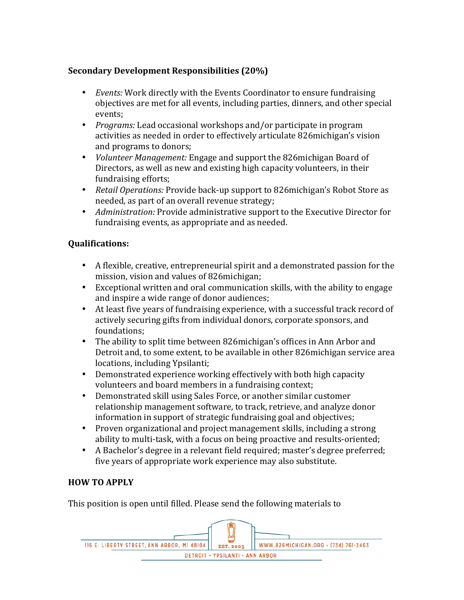# **Secondary\$Development Responsibilities (20%)**

- *Events:* Work directly with the Events Coordinator to ensure fundraising objectives are met for all events, including parties, dinners, and other special events;
- *Programs:* Lead occasional workshops and/or participate in program activities as needed in order to effectively articulate 826michigan's vision and programs to donors;
- *Volunteer Management:* Engage and support the 826 michigan Board of Directors, as well as new and existing high capacity volunteers, in their fundraising efforts;
- *Retail Operations:* Provide back-up support to 826 michigan's Robot Store as needed, as part of an overall revenue strategy;
- *Administration:* Provide administrative support to the Executive Director for fundraising events, as appropriate and as needed.

# **Qualifications:**

- A flexible, creative, entrepreneurial spirit and a demonstrated passion for the mission, vision and values of 826 michigan;
- Exceptional written and oral communication skills, with the ability to engage and inspire a wide range of donor audiences;
- At least five years of fundraising experience, with a successful track record of actively securing gifts from individual donors, corporate sponsors, and foundations:
- The ability to split time between 826michigan's offices in Ann Arbor and Detroit and, to some extent, to be available in other 826 michigan service area locations, including Ypsilanti;
- Demonstrated experience working effectively with both high capacity volunteers and board members in a fundraising context;
- Demonstrated skill using Sales Force, or another similar customer relationship management software, to track, retrieve, and analyze donor information in support of strategic fundraising goal and objectives;
- Proven organizational and project management skills, including a strong ability to multi-task, with a focus on being proactive and results-oriented;
- A Bachelor's degree in a relevant field required; master's degree preferred; five years of appropriate work experience may also substitute.

## **HOW\$TO\$APPLY**

This position is open until filled. Please send the following materials to